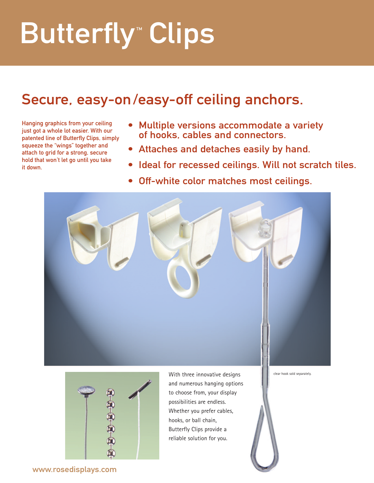## Butterfly<sup>®</sup> Clips

## Secure, easy-on/easy-off ceiling anchors.

Hanging graphics from your ceiling just got a whole lot easier. With our patented line of Butterfly Clips, simply squeeze the "wings" together and attach to grid for a strong, secure hold that won't let go until you take it down.

- Multiple versions accommodate a variety of hooks, cables and connectors.
- Attaches and detaches easily by hand.
- Ideal for recessed ceilings. Will not scratch tiles.
- Off-white color matches most ceilings.





With three innovative designs and numerous hanging options to choose from, your display possibilities are endless. Whether you prefer cables, hooks, or ball chain, Butterfly Clips provide a reliable solution for you.

clear hook sold separately.

www.rosedisplays.com